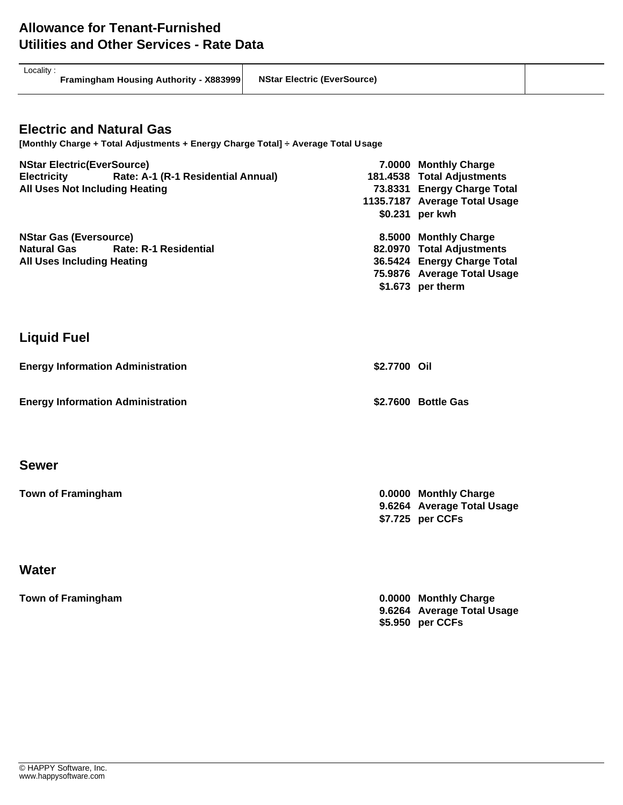| Locality |  |
|----------|--|
|          |  |

**Framingham Housing Authority - X883999 NStar Electric (EverSource)**

#### **Electric and Natural Gas**

**[Monthly Charge + Total Adjustments + Energy Charge Total] ÷ Average Total Usage**

| <b>NStar Electric(EverSource)</b> |                                    |                             | 7.0000 Monthly Charge         |  |  |  |
|-----------------------------------|------------------------------------|-----------------------------|-------------------------------|--|--|--|
| <b>Electricity</b>                | Rate: A-1 (R-1 Residential Annual) |                             | 181.4538 Total Adjustments    |  |  |  |
| All Uses Not Including Heating    |                                    | 73.8331 Energy Charge Total |                               |  |  |  |
|                                   |                                    |                             | 1135.7187 Average Total Usage |  |  |  |
|                                   |                                    |                             | \$0.231 per kwh               |  |  |  |
| <b>NStar Gas (Eversource)</b>     |                                    |                             | 8.5000 Monthly Charge         |  |  |  |
|                                   | Natural Gas Rate: R-1 Residential  |                             | 82.0970 Total Adjustments     |  |  |  |
| <b>All Uses Including Heating</b> |                                    | 36.5424 Energy Charge Total |                               |  |  |  |
|                                   |                                    |                             | 75.9876 Average Total Usage   |  |  |  |
|                                   |                                    |                             | \$1.673 per therm             |  |  |  |

#### **Liquid Fuel**

| <b>Energy Information Administration</b> | \$2,7700 Oil        |
|------------------------------------------|---------------------|
| <b>Energy Information Administration</b> | \$2.7600 Bottle Gas |

#### **Sewer**

**Town of Framingham 0.0000 Monthly Charge 9.6264 Average Total Usage \$7.725 per CCFs**

#### **Water**

**Town of Framingham 0.0000 Monthly Charge 9.6264 Average Total Usage \$5.950 per CCFs**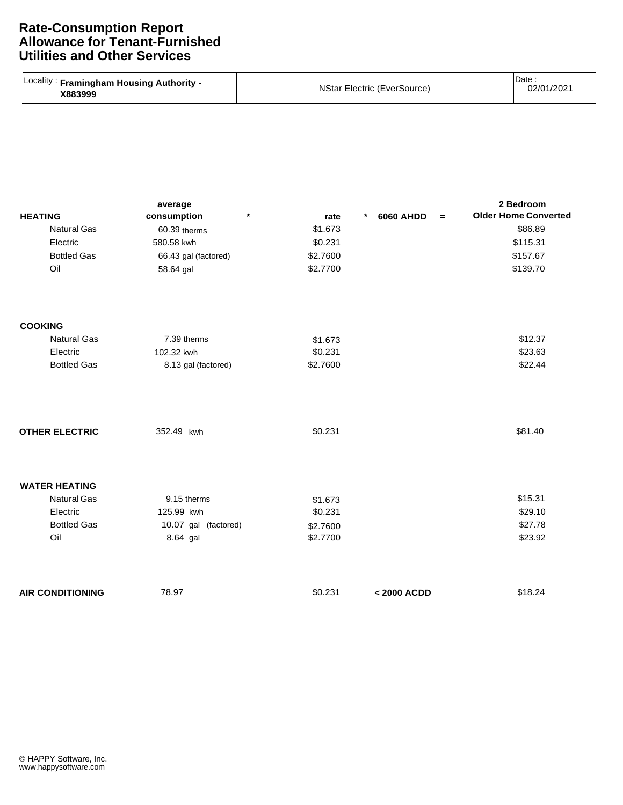| Locality: Framingham Housing Authority -<br>X883999 | NStar Electric (EverSource) | Date<br>02/01/2021 |
|-----------------------------------------------------|-----------------------------|--------------------|
|-----------------------------------------------------|-----------------------------|--------------------|

| <b>HEATING</b>          | average<br>consumption<br>$\star$ | rate     | 6060 AHDD<br>$\ast$<br>$=$ | 2 Bedroom<br><b>Older Home Converted</b> |
|-------------------------|-----------------------------------|----------|----------------------------|------------------------------------------|
| <b>Natural Gas</b>      | 60.39 therms                      | \$1.673  |                            | \$86.89                                  |
| Electric                | 580.58 kwh                        | \$0.231  |                            | \$115.31                                 |
| <b>Bottled Gas</b>      | 66.43 gal (factored)              | \$2.7600 |                            | \$157.67                                 |
| Oil                     | 58.64 gal                         | \$2.7700 |                            | \$139.70                                 |
| <b>COOKING</b>          |                                   |          |                            |                                          |
| <b>Natural Gas</b>      | 7.39 therms                       | \$1.673  |                            | \$12.37                                  |
| Electric                | 102.32 kwh                        | \$0.231  |                            | \$23.63                                  |
| <b>Bottled Gas</b>      | 8.13 gal (factored)               | \$2.7600 |                            | \$22.44                                  |
| <b>OTHER ELECTRIC</b>   | 352.49 kwh                        | \$0.231  |                            | \$81.40                                  |
| <b>WATER HEATING</b>    |                                   |          |                            |                                          |
| <b>Natural Gas</b>      | 9.15 therms                       | \$1.673  |                            | \$15.31                                  |
| Electric                | 125.99 kwh                        | \$0.231  |                            | \$29.10                                  |
| <b>Bottled Gas</b>      | 10.07 gal (factored)              | \$2.7600 |                            | \$27.78                                  |
| Oil                     | 8.64 gal                          | \$2.7700 |                            | \$23.92                                  |
| <b>AIR CONDITIONING</b> | 78.97                             | \$0.231  | < 2000 ACDD                | \$18.24                                  |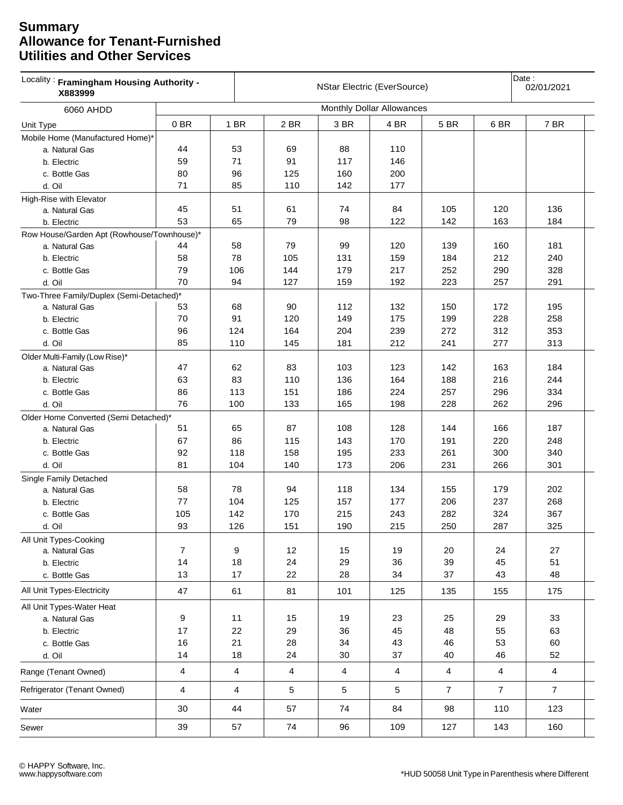| X883999                                    | Locality: Framingham Housing Authority -<br><b>NStar Electric (EverSource)</b> |                         |                         |                         |                           |                | Date:<br>02/01/2021 |                |
|--------------------------------------------|--------------------------------------------------------------------------------|-------------------------|-------------------------|-------------------------|---------------------------|----------------|---------------------|----------------|
| 6060 AHDD                                  |                                                                                |                         |                         |                         | Monthly Dollar Allowances |                |                     |                |
| Unit Type                                  | 0BR                                                                            | 1 BR                    | 2 BR                    | 3 BR                    | 4 BR                      | 5 BR           | 6 BR                | 7 BR           |
| Mobile Home (Manufactured Home)*           |                                                                                |                         |                         |                         |                           |                |                     |                |
| a. Natural Gas                             | 44                                                                             | 53                      | 69                      | 88                      | 110                       |                |                     |                |
| b. Electric                                | 59                                                                             | 71                      | 91                      | 117                     | 146                       |                |                     |                |
| c. Bottle Gas                              | 80                                                                             | 96                      | 125                     | 160                     | 200                       |                |                     |                |
| d. Oil                                     | 71                                                                             | 85                      | 110                     | 142                     | 177                       |                |                     |                |
| High-Rise with Elevator                    |                                                                                |                         |                         |                         |                           |                |                     |                |
| a. Natural Gas                             | 45                                                                             | 51                      | 61                      | 74                      | 84                        | 105            | 120                 | 136            |
| b. Electric                                | 53                                                                             | 65                      | 79                      | 98                      | 122                       | 142            | 163                 | 184            |
| Row House/Garden Apt (Rowhouse/Townhouse)* |                                                                                |                         |                         |                         |                           |                |                     |                |
| a. Natural Gas                             | 44                                                                             | 58                      | 79                      | 99                      | 120                       | 139            | 160                 | 181            |
| b. Electric                                | 58                                                                             | 78                      | 105                     | 131                     | 159                       | 184            | 212                 | 240            |
| c. Bottle Gas                              | 79                                                                             | 106                     | 144                     | 179                     | 217                       | 252            | 290                 | 328            |
| d. Oil                                     | 70                                                                             | 94                      | 127                     | 159                     | 192                       | 223            | 257                 | 291            |
| Two-Three Family/Duplex (Semi-Detached)*   |                                                                                |                         |                         |                         |                           |                |                     |                |
| a. Natural Gas                             | 53                                                                             | 68                      | 90                      | 112                     | 132                       | 150            | 172                 | 195            |
| b. Electric                                | 70                                                                             | 91                      | 120                     | 149                     | 175                       | 199            | 228                 | 258            |
| c. Bottle Gas                              | 96                                                                             | 124                     | 164                     | 204                     | 239                       | 272            | 312                 | 353            |
| d. Oil                                     | 85                                                                             | 110                     | 145                     | 181                     | 212                       | 241            | 277                 | 313            |
| Older Multi-Family (Low Rise)*             |                                                                                |                         |                         |                         |                           |                |                     |                |
| a. Natural Gas                             | 47                                                                             | 62                      | 83                      | 103                     | 123                       | 142            | 163                 | 184            |
| b. Electric                                | 63                                                                             | 83                      | 110                     | 136                     | 164                       | 188            | 216                 | 244            |
| c. Bottle Gas                              | 86                                                                             | 113                     | 151                     | 186                     | 224                       | 257            | 296                 | 334            |
| d. Oil                                     | 76                                                                             | 100                     | 133                     | 165                     | 198                       | 228            | 262                 | 296            |
| Older Home Converted (Semi Detached)*      |                                                                                |                         |                         |                         |                           |                |                     |                |
| a. Natural Gas                             | 51                                                                             | 65                      | 87                      | 108                     | 128                       | 144            | 166                 | 187            |
| b. Electric                                | 67                                                                             | 86                      | 115                     | 143                     | 170                       | 191            | 220                 | 248            |
| c. Bottle Gas                              | 92                                                                             | 118                     | 158                     | 195                     | 233                       | 261            | 300                 | 340            |
| d. Oil                                     | 81                                                                             | 104                     | 140                     | 173                     | 206                       | 231            | 266                 | 301            |
| Single Family Detached                     |                                                                                |                         |                         |                         |                           |                |                     |                |
| a. Natural Gas                             | 58                                                                             | 78                      | 94                      | 118                     | 134                       | 155            | 179                 | 202            |
| b. Electric                                | 77                                                                             | 104                     | 125                     | 157                     | 177                       | 206            | 237                 | 268            |
| c. Bottle Gas                              | 105                                                                            | 142                     | 170                     | 215                     | 243                       | 282            | 324                 | 367            |
| d. Oil                                     | 93                                                                             | 126                     | 151                     | 190                     | 215                       | 250            | 287                 | 325            |
| All Unit Types-Cooking                     |                                                                                |                         |                         |                         |                           |                |                     |                |
| a. Natural Gas                             | $\overline{7}$                                                                 | 9                       | 12                      | 15                      | 19                        | 20             | 24                  | 27             |
| b. Electric                                | 14                                                                             | 18                      | 24                      | 29                      | 36                        | 39             | 45                  | 51             |
| c. Bottle Gas                              | 13                                                                             | 17                      | 22                      | 28                      | 34                        | 37             | 43                  | 48             |
| All Unit Types-Electricity                 | 47                                                                             | 61                      | 81                      | 101                     | 125                       | 135            | 155                 | 175            |
| All Unit Types-Water Heat                  |                                                                                |                         |                         |                         |                           |                |                     |                |
| a. Natural Gas                             | $\boldsymbol{9}$                                                               | 11                      | 15                      | 19                      | 23                        | 25             | 29                  | 33             |
| b. Electric                                | 17                                                                             | 22                      | 29                      | 36                      | 45                        | 48             | 55                  | 63             |
| c. Bottle Gas                              | 16                                                                             | 21                      | 28                      | 34                      | 43                        | 46             | 53                  | 60             |
| d. Oil                                     | 14                                                                             | 18                      | 24                      | 30                      | 37                        | 40             | 46                  | 52             |
| Range (Tenant Owned)                       | $\overline{\mathbf{4}}$                                                        | $\overline{\mathbf{4}}$ | $\overline{\mathbf{4}}$ | $\overline{\mathbf{4}}$ | 4                         | $\overline{4}$ | $\overline{4}$      | $\overline{4}$ |
| Refrigerator (Tenant Owned)                | $\overline{4}$                                                                 | 4                       | 5                       | 5                       | 5                         | $\overline{7}$ | $\overline{7}$      | $\overline{7}$ |
| Water                                      | 30                                                                             | 44                      | 57                      | 74                      | 84                        | 98             | 110                 | 123            |
| Sewer                                      | 39                                                                             | 57                      | 74                      | 96                      | 109                       | 127            | 143                 | 160            |
|                                            |                                                                                |                         |                         |                         |                           |                |                     |                |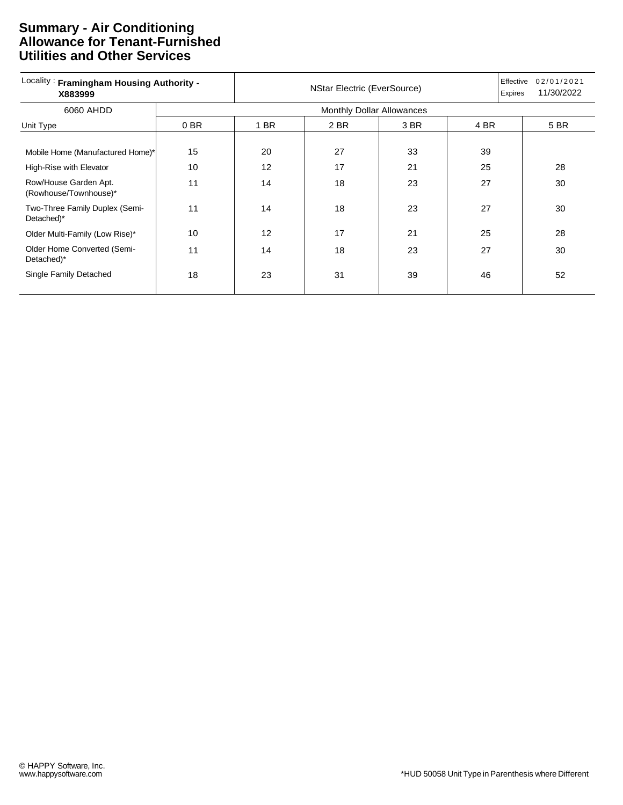#### **Summary - Air Conditioning Allowance for Tenant-Furnished Utilities and Other Services**

| Locality: Framingham Housing Authority -<br>X883999 | <b>NStar Electric (EverSource)</b> |                                  |      |      |      | Effective<br>02/01/2021<br>11/30/2022<br>Expires |      |  |
|-----------------------------------------------------|------------------------------------|----------------------------------|------|------|------|--------------------------------------------------|------|--|
| 6060 AHDD                                           |                                    | <b>Monthly Dollar Allowances</b> |      |      |      |                                                  |      |  |
| Unit Type                                           | 0 BR                               | 1 BR                             | 2 BR | 3 BR | 4 BR |                                                  | 5 BR |  |
|                                                     |                                    |                                  |      |      |      |                                                  |      |  |
| Mobile Home (Manufactured Home)*                    | 15                                 | 20                               | 27   | 33   | 39   |                                                  |      |  |
| High-Rise with Elevator                             | 10                                 | 12                               | 17   | 21   | 25   |                                                  | 28   |  |
| Row/House Garden Apt.<br>(Rowhouse/Townhouse)*      | 11                                 | 14                               | 18   | 23   | 27   |                                                  | 30   |  |
| Two-Three Family Duplex (Semi-<br>Detached)*        | 11                                 | 14                               | 18   | 23   | 27   |                                                  | 30   |  |
| Older Multi-Family (Low Rise)*                      | 10                                 | 12                               | 17   | 21   | 25   |                                                  | 28   |  |
| Older Home Converted (Semi-<br>Detached)*           | 11                                 | 14                               | 18   | 23   | 27   |                                                  | 30   |  |
| Single Family Detached                              | 18                                 | 23                               | 31   | 39   | 46   |                                                  | 52   |  |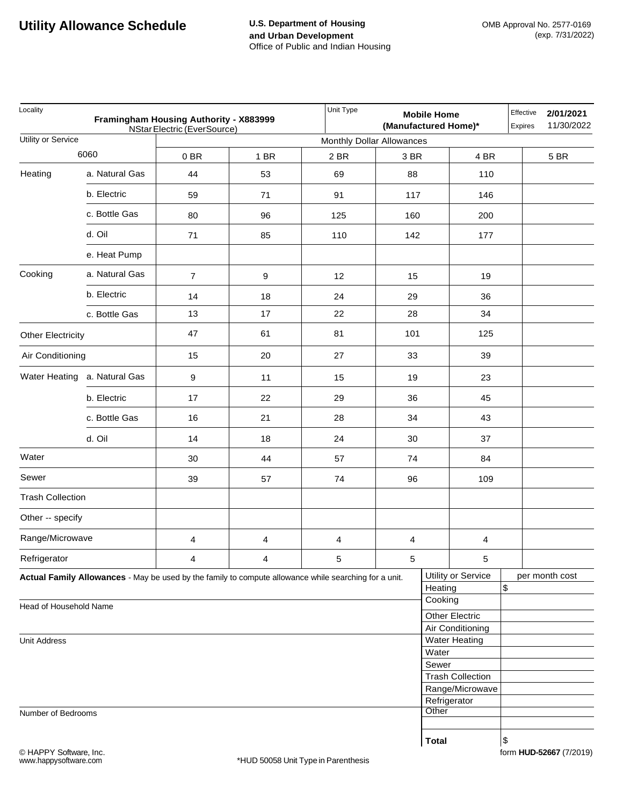| Locality                 | Unit Type                    | <b>Mobile Home</b><br>(Manufactured Home)*                                                            |        |                           | Effective<br>Expires | 2/01/2021<br>11/30/2022 |                         |      |                |
|--------------------------|------------------------------|-------------------------------------------------------------------------------------------------------|--------|---------------------------|----------------------|-------------------------|-------------------------|------|----------------|
| Utility or Service       |                              | <b>NStar Electric (EverSource)</b>                                                                    |        | Monthly Dollar Allowances |                      |                         |                         |      |                |
|                          | 6060                         | 0B                                                                                                    | $1$ BR | 2 BR                      | 3 BR                 |                         | 4 BR                    |      | 5 BR           |
| Heating                  | a. Natural Gas               | 44                                                                                                    | 53     | 69                        | 88                   |                         | 110                     |      |                |
|                          | b. Electric                  | 59                                                                                                    | 71     | 91                        | 117                  |                         | 146                     |      |                |
|                          | c. Bottle Gas                | 80                                                                                                    | 96     | 125                       | 160                  |                         | 200                     |      |                |
|                          | d. Oil                       | 71                                                                                                    | 85     | 110                       | 142                  |                         | 177                     |      |                |
|                          | e. Heat Pump                 |                                                                                                       |        |                           |                      |                         |                         |      |                |
| Cooking                  | a. Natural Gas               | $\overline{7}$                                                                                        | 9      | 12                        | 15                   |                         | 19                      |      |                |
|                          | b. Electric                  | 14                                                                                                    | 18     | 24                        | 29                   |                         | 36                      |      |                |
|                          | c. Bottle Gas                | 13                                                                                                    | 17     | 22                        | 28                   |                         | 34                      |      |                |
| <b>Other Electricity</b> |                              | 47                                                                                                    | 61     | 81                        | 101                  |                         | 125                     |      |                |
| Air Conditioning         |                              | 15                                                                                                    | 20     | 27                        | 33                   |                         | 39                      |      |                |
|                          | Water Heating a. Natural Gas | 9                                                                                                     | 11     | 15                        | 19                   |                         | 23                      |      |                |
|                          | b. Electric                  | 17                                                                                                    | 22     | 29                        | 36                   |                         | 45                      |      |                |
|                          | c. Bottle Gas                | 16                                                                                                    | 21     | 28                        | 34                   |                         | 43                      |      |                |
|                          | d. Oil                       | 14                                                                                                    | 18     | 24                        | 30                   |                         | 37                      |      |                |
| Water                    |                              | 30                                                                                                    | 44     | 57                        | 74                   |                         | 84                      |      |                |
| Sewer                    |                              | 39                                                                                                    | 57     | 74                        | 96                   |                         | 109                     |      |                |
| <b>Trash Collection</b>  |                              |                                                                                                       |        |                           |                      |                         |                         |      |                |
| Other -- specify         |                              |                                                                                                       |        |                           |                      |                         |                         |      |                |
| Range/Microwave          |                              | 4                                                                                                     | 4      | 4                         | 4                    |                         | 4                       |      |                |
| Refrigerator             |                              | 4                                                                                                     | 4      | 5                         | $\,$ 5 $\,$          |                         | 5                       |      |                |
|                          |                              | Actual Family Allowances - May be used by the family to compute allowance while searching for a unit. |        |                           |                      |                         | Utility or Service      | \$   | per month cost |
|                          |                              |                                                                                                       |        |                           |                      | Heating<br>Cooking      |                         |      |                |
| Head of Household Name   |                              |                                                                                                       |        |                           |                      |                         | <b>Other Electric</b>   |      |                |
|                          |                              |                                                                                                       |        |                           |                      |                         | Air Conditioning        |      |                |
| <b>Unit Address</b>      |                              |                                                                                                       |        |                           |                      |                         | <b>Water Heating</b>    |      |                |
|                          |                              |                                                                                                       |        |                           |                      | Water<br>Sewer          |                         |      |                |
|                          |                              |                                                                                                       |        |                           |                      |                         | <b>Trash Collection</b> |      |                |
|                          |                              |                                                                                                       |        |                           |                      |                         | Range/Microwave         |      |                |
|                          |                              |                                                                                                       |        |                           |                      |                         | Refrigerator            |      |                |
| Number of Bedrooms       |                              |                                                                                                       |        |                           |                      | Other                   |                         |      |                |
|                          |                              |                                                                                                       |        |                           |                      |                         |                         |      |                |
|                          |                              |                                                                                                       |        |                           |                      | <b>Total</b>            |                         | $\,$ |                |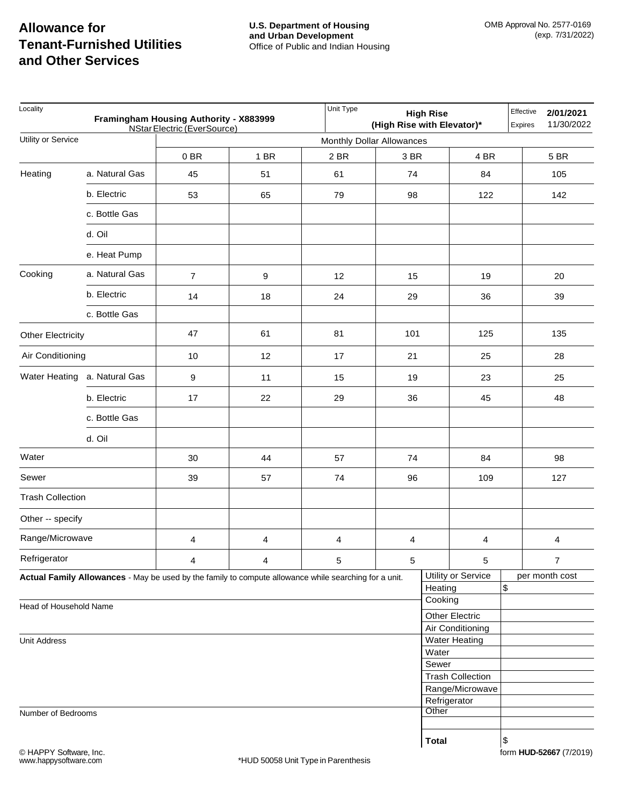| Locality<br>Framingham Housing Authority - X883999<br>NStar Electric (EverSource) |                |                |      |                                                                                                       | Unit Type<br>Effective<br>2/01/2021<br><b>High Rise</b><br>(High Rise with Elevator)*<br>11/30/2022<br>Expires |              |                                 |    |                         |
|-----------------------------------------------------------------------------------|----------------|----------------|------|-------------------------------------------------------------------------------------------------------|----------------------------------------------------------------------------------------------------------------|--------------|---------------------------------|----|-------------------------|
| Utility or Service                                                                |                |                |      | Monthly Dollar Allowances                                                                             |                                                                                                                |              |                                 |    |                         |
|                                                                                   |                | 0BR            | 1 BR | 2 BR                                                                                                  | 3 BR                                                                                                           |              | 4 BR                            |    | 5 BR                    |
| Heating                                                                           | a. Natural Gas | 45             | 51   | 61                                                                                                    | 74                                                                                                             |              | 84                              |    | 105                     |
|                                                                                   | b. Electric    | 53             | 65   | 79                                                                                                    | 98                                                                                                             |              | 122                             |    | 142                     |
|                                                                                   | c. Bottle Gas  |                |      |                                                                                                       |                                                                                                                |              |                                 |    |                         |
|                                                                                   | d. Oil         |                |      |                                                                                                       |                                                                                                                |              |                                 |    |                         |
|                                                                                   | e. Heat Pump   |                |      |                                                                                                       |                                                                                                                |              |                                 |    |                         |
| Cooking                                                                           | a. Natural Gas | $\overline{7}$ | 9    | 12                                                                                                    | 15                                                                                                             |              | 19                              |    | 20                      |
|                                                                                   | b. Electric    | 14             | 18   | 24                                                                                                    | 29                                                                                                             |              | 36                              |    | 39                      |
|                                                                                   | c. Bottle Gas  |                |      |                                                                                                       |                                                                                                                |              |                                 |    |                         |
| <b>Other Electricity</b>                                                          |                | 47             | 61   | 81                                                                                                    | 101                                                                                                            |              | 125                             |    | 135                     |
| Air Conditioning                                                                  |                | 10             | 12   | 17                                                                                                    | 21                                                                                                             |              | 25                              |    | 28                      |
| Water Heating a. Natural Gas                                                      |                | 9              | 11   | 15                                                                                                    | 19                                                                                                             |              | 23                              |    | 25                      |
|                                                                                   | b. Electric    | 17             | 22   | 29                                                                                                    | 36                                                                                                             |              | 45                              |    | 48                      |
|                                                                                   | c. Bottle Gas  |                |      |                                                                                                       |                                                                                                                |              |                                 |    |                         |
|                                                                                   | d. Oil         |                |      |                                                                                                       |                                                                                                                |              |                                 |    |                         |
| Water                                                                             |                | 30             | 44   | 57                                                                                                    | 74                                                                                                             |              | 84                              |    | 98                      |
| Sewer                                                                             |                | 39             | 57   | 74                                                                                                    | 96                                                                                                             |              | 109                             |    | 127                     |
| <b>Trash Collection</b>                                                           |                |                |      |                                                                                                       |                                                                                                                |              |                                 |    |                         |
| Other -- specify                                                                  |                |                |      |                                                                                                       |                                                                                                                |              |                                 |    |                         |
| Range/Microwave                                                                   |                | 4              | 4    | 4                                                                                                     | 4                                                                                                              |              | 4                               |    | 4                       |
| Refrigerator                                                                      |                | 4              | 4    | 5                                                                                                     | $\sqrt{5}$                                                                                                     |              | 5                               |    | $\overline{7}$          |
|                                                                                   |                |                |      | Actual Family Allowances - May be used by the family to compute allowance while searching for a unit. |                                                                                                                | Heating      | Utility or Service              | \$ | per month cost          |
|                                                                                   |                |                |      |                                                                                                       |                                                                                                                | Cooking      |                                 |    |                         |
| Head of Household Name                                                            |                |                |      |                                                                                                       |                                                                                                                |              | <b>Other Electric</b>           |    |                         |
|                                                                                   |                |                |      |                                                                                                       |                                                                                                                |              | Air Conditioning                |    |                         |
| <b>Unit Address</b>                                                               |                |                |      |                                                                                                       |                                                                                                                | Water        | <b>Water Heating</b>            |    |                         |
|                                                                                   |                |                |      |                                                                                                       |                                                                                                                | Sewer        |                                 |    |                         |
|                                                                                   |                |                |      |                                                                                                       |                                                                                                                |              | <b>Trash Collection</b>         |    |                         |
|                                                                                   |                |                |      |                                                                                                       |                                                                                                                |              | Range/Microwave<br>Refrigerator |    |                         |
| Number of Bedrooms                                                                |                |                |      |                                                                                                       |                                                                                                                | Other        |                                 |    |                         |
|                                                                                   |                |                |      |                                                                                                       |                                                                                                                |              |                                 |    |                         |
|                                                                                   |                |                |      |                                                                                                       |                                                                                                                | <b>Total</b> |                                 | \$ |                         |
| © HAPPY Software, Inc.<br>www.happysoftware.com                                   |                |                |      | *HUD 50058 Unit Type in Parenthesis                                                                   |                                                                                                                |              |                                 |    | form HUD-52667 (7/2019) |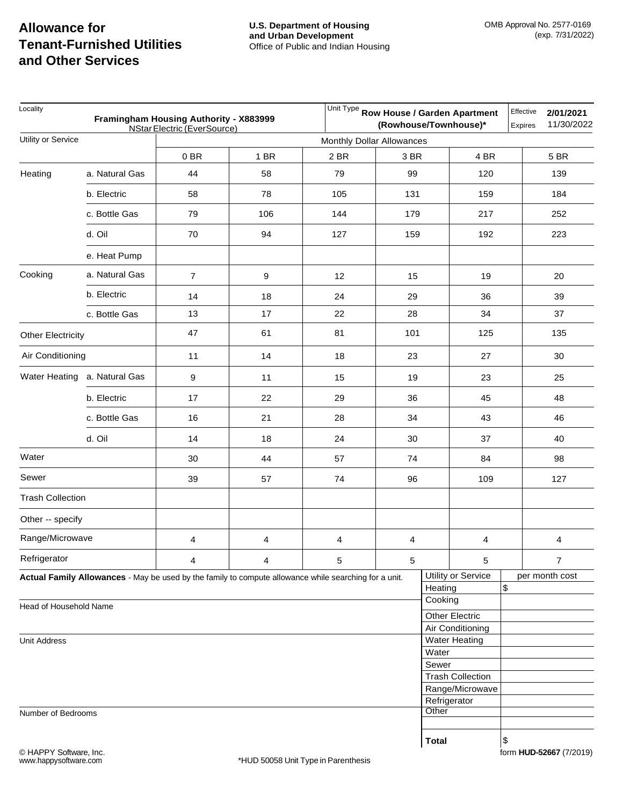| Locality<br>Framingham Housing Authority - X883999<br>NStar Electric (EverSource) |                              |                                                                                                       |      |                                     | Unit Type Row House / Garden Apartment<br>Effective<br>2/01/2021<br>11/30/2022<br>(Rowhouse/Townhouse)*<br>Expires |              |                                          |    |                         |
|-----------------------------------------------------------------------------------|------------------------------|-------------------------------------------------------------------------------------------------------|------|-------------------------------------|--------------------------------------------------------------------------------------------------------------------|--------------|------------------------------------------|----|-------------------------|
| Utility or Service                                                                |                              |                                                                                                       |      | Monthly Dollar Allowances           |                                                                                                                    |              |                                          |    |                         |
|                                                                                   |                              | 0BR                                                                                                   | 1 BR | 2 BR                                | 3 BR                                                                                                               |              | 4 BR                                     |    | 5 BR                    |
| Heating                                                                           | a. Natural Gas               | 44                                                                                                    | 58   | 79                                  | 99                                                                                                                 |              | 120                                      |    | 139                     |
|                                                                                   | b. Electric                  | 58                                                                                                    | 78   | 105                                 | 131                                                                                                                |              | 159                                      |    | 184                     |
|                                                                                   | c. Bottle Gas                | 79                                                                                                    | 106  | 144                                 | 179                                                                                                                |              | 217                                      |    | 252                     |
|                                                                                   | d. Oil                       | 70                                                                                                    | 94   | 127                                 | 159                                                                                                                |              | 192                                      |    | 223                     |
|                                                                                   | e. Heat Pump                 |                                                                                                       |      |                                     |                                                                                                                    |              |                                          |    |                         |
| Cooking                                                                           | a. Natural Gas               | $\overline{7}$                                                                                        | 9    | 12                                  | 15                                                                                                                 |              |                                          |    | 20                      |
|                                                                                   | b. Electric                  | 14                                                                                                    | 18   | 24                                  | 29                                                                                                                 |              | 36                                       |    | 39                      |
|                                                                                   | c. Bottle Gas                | 13                                                                                                    | $17$ | 22                                  | 28                                                                                                                 |              | 34                                       |    | 37                      |
| <b>Other Electricity</b>                                                          |                              | 47                                                                                                    | 61   | 81                                  | 101                                                                                                                |              | 125                                      |    | 135                     |
| Air Conditioning                                                                  |                              | 11                                                                                                    | 14   | 18                                  | 23                                                                                                                 |              | 27                                       |    | 30                      |
|                                                                                   | Water Heating a. Natural Gas | 9                                                                                                     | 11   | 15                                  | 19                                                                                                                 |              | 23                                       |    | 25                      |
|                                                                                   | b. Electric                  | 17                                                                                                    | 22   | 29                                  | 36                                                                                                                 |              | 45                                       |    | 48                      |
|                                                                                   | c. Bottle Gas                | 16                                                                                                    | 21   | 28                                  | 34                                                                                                                 |              | 43                                       |    | 46                      |
|                                                                                   | d. Oil                       | 14                                                                                                    | 18   | 24                                  | 30                                                                                                                 |              | 37                                       |    | 40                      |
| Water                                                                             |                              | 30                                                                                                    | 44   | 57                                  | 74                                                                                                                 |              | 84                                       |    | 98                      |
| Sewer                                                                             |                              | 39                                                                                                    | 57   | 74                                  | 96                                                                                                                 |              | 109                                      |    | 127                     |
| <b>Trash Collection</b>                                                           |                              |                                                                                                       |      |                                     |                                                                                                                    |              |                                          |    |                         |
| Other -- specify                                                                  |                              |                                                                                                       |      |                                     |                                                                                                                    |              |                                          |    |                         |
| Range/Microwave                                                                   |                              | 4                                                                                                     | 4    | 4                                   | 4                                                                                                                  |              | 4                                        |    | 4                       |
| Refrigerator                                                                      |                              | 4                                                                                                     | 4    | 5                                   | $\sqrt{5}$                                                                                                         |              | 5                                        |    | $\overline{7}$          |
|                                                                                   |                              | Actual Family Allowances - May be used by the family to compute allowance while searching for a unit. |      |                                     |                                                                                                                    | Heating      | Utility or Service                       | \$ | per month cost          |
| Head of Household Name                                                            |                              |                                                                                                       |      |                                     |                                                                                                                    | Cooking      |                                          |    |                         |
|                                                                                   |                              |                                                                                                       |      |                                     |                                                                                                                    |              | Other Electric                           |    |                         |
| <b>Unit Address</b>                                                               |                              |                                                                                                       |      |                                     |                                                                                                                    |              | Air Conditioning<br><b>Water Heating</b> |    |                         |
|                                                                                   |                              |                                                                                                       |      |                                     |                                                                                                                    | Water        |                                          |    |                         |
|                                                                                   |                              |                                                                                                       |      |                                     |                                                                                                                    | Sewer        |                                          |    |                         |
|                                                                                   |                              |                                                                                                       |      |                                     |                                                                                                                    |              | <b>Trash Collection</b>                  |    |                         |
|                                                                                   |                              |                                                                                                       |      |                                     |                                                                                                                    |              | Range/Microwave<br>Refrigerator          |    |                         |
| Number of Bedrooms                                                                |                              |                                                                                                       |      |                                     |                                                                                                                    | Other        |                                          |    |                         |
|                                                                                   |                              |                                                                                                       |      |                                     |                                                                                                                    |              |                                          |    |                         |
| © HAPPY Software, Inc.<br>www.happysoftware.com                                   |                              |                                                                                                       |      | *HUD 50058 Unit Type in Parenthesis |                                                                                                                    | <b>Total</b> |                                          | \$ | form HUD-52667 (7/2019) |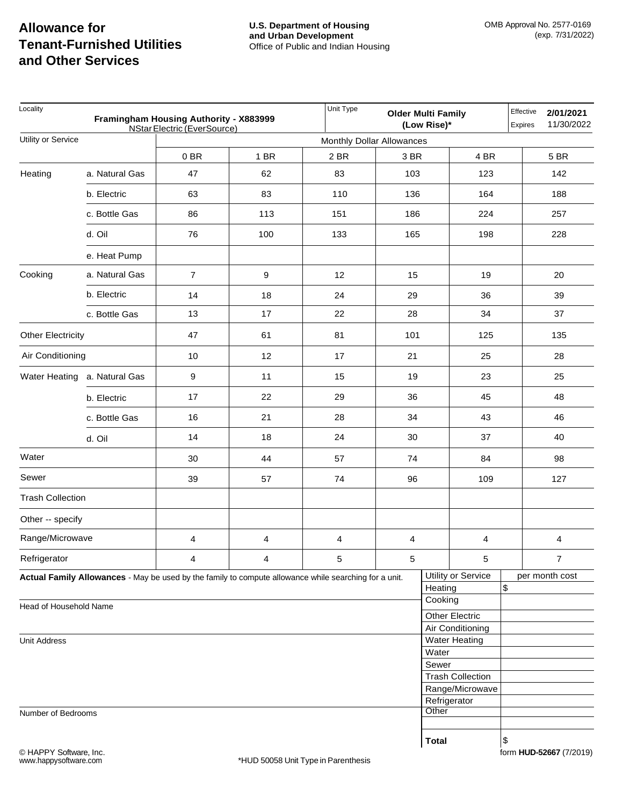| Locality<br>Framingham Housing Authority - X883999<br>NStar Electric (EverSource) |                |                                                                                                       |      |                           | <b>Older Multi Family</b> | (Low Rise)*  |                                          | Effective<br>Expires | 2/01/2021<br>11/30/2022 |
|-----------------------------------------------------------------------------------|----------------|-------------------------------------------------------------------------------------------------------|------|---------------------------|---------------------------|--------------|------------------------------------------|----------------------|-------------------------|
| Utility or Service                                                                |                |                                                                                                       |      | Monthly Dollar Allowances |                           |              |                                          |                      |                         |
|                                                                                   |                | 0BR                                                                                                   | 1 BR | 2 BR                      | 3 BR                      |              | 4 BR                                     |                      | 5 BR                    |
| Heating                                                                           | a. Natural Gas | 47                                                                                                    | 62   | 83                        | 103                       |              | 123                                      |                      | 142                     |
|                                                                                   | b. Electric    | 63                                                                                                    | 83   | 110                       | 136                       |              | 164                                      |                      | 188                     |
|                                                                                   | c. Bottle Gas  | 86                                                                                                    | 113  | 151                       | 186                       |              | 224                                      |                      | 257                     |
|                                                                                   | d. Oil         | 76                                                                                                    | 100  | 133                       | 165                       |              | 198                                      |                      | 228                     |
|                                                                                   | e. Heat Pump   |                                                                                                       |      |                           |                           |              |                                          |                      |                         |
| Cooking                                                                           | a. Natural Gas | $\overline{7}$                                                                                        | 9    | 12                        | 15                        |              | 19                                       |                      | 20                      |
|                                                                                   | b. Electric    | 14                                                                                                    | 18   | 24                        | 29                        |              | 36                                       |                      | 39                      |
|                                                                                   | c. Bottle Gas  | 13                                                                                                    | $17$ | 22                        | 28                        |              | 34                                       |                      | 37                      |
| Other Electricity                                                                 |                | 47                                                                                                    | 61   | 81                        | 101                       |              | 125                                      |                      | 135                     |
| Air Conditioning                                                                  |                | 10                                                                                                    | 12   | 17                        | 21                        |              | 25                                       |                      | 28                      |
| Water Heating a. Natural Gas                                                      |                | $\boldsymbol{9}$                                                                                      | 11   | 15                        | 19                        |              | 23                                       |                      | 25                      |
|                                                                                   | b. Electric    | 17                                                                                                    | 22   | 29                        | 36                        |              | 45                                       |                      | 48                      |
|                                                                                   | c. Bottle Gas  | 16                                                                                                    | 21   | 28                        | 34                        |              | 43                                       |                      | 46                      |
|                                                                                   | d. Oil         | 14                                                                                                    | 18   | 24                        | 30                        | 37           |                                          |                      | 40                      |
| Water                                                                             |                | 30                                                                                                    | 44   | 57                        | 74                        |              | 84                                       |                      | 98                      |
| Sewer                                                                             |                | 39                                                                                                    | 57   | 74                        | 96                        |              | 109                                      |                      | 127                     |
| <b>Trash Collection</b>                                                           |                |                                                                                                       |      |                           |                           |              |                                          |                      |                         |
| Other -- specify                                                                  |                |                                                                                                       |      |                           |                           |              |                                          |                      |                         |
| Range/Microwave                                                                   |                | 4                                                                                                     | 4    | 4                         | $\overline{4}$            |              | 4                                        |                      | 4                       |
| Refrigerator                                                                      |                | 4                                                                                                     | 4    | 5                         | $5\overline{)}$           |              | 5                                        |                      | $\overline{7}$          |
|                                                                                   |                | Actual Family Allowances - May be used by the family to compute allowance while searching for a unit. |      |                           |                           | Heating      | Utility or Service                       | \$                   | per month cost          |
| Head of Household Name                                                            |                |                                                                                                       |      |                           |                           | Cooking      |                                          |                      |                         |
|                                                                                   |                |                                                                                                       |      |                           |                           |              | <b>Other Electric</b>                    |                      |                         |
| <b>Unit Address</b>                                                               |                |                                                                                                       |      |                           |                           |              | Air Conditioning<br><b>Water Heating</b> |                      |                         |
|                                                                                   |                |                                                                                                       |      |                           |                           | Water        |                                          |                      |                         |
|                                                                                   |                |                                                                                                       |      |                           |                           | Sewer        |                                          |                      |                         |
|                                                                                   |                |                                                                                                       |      |                           |                           |              | <b>Trash Collection</b>                  |                      |                         |
|                                                                                   |                |                                                                                                       |      |                           |                           |              | Range/Microwave                          |                      |                         |
|                                                                                   |                |                                                                                                       |      |                           |                           | Other        | Refrigerator                             |                      |                         |
| Number of Bedrooms                                                                |                |                                                                                                       |      |                           |                           |              |                                          |                      |                         |
|                                                                                   |                |                                                                                                       |      |                           |                           | <b>Total</b> |                                          | \$                   |                         |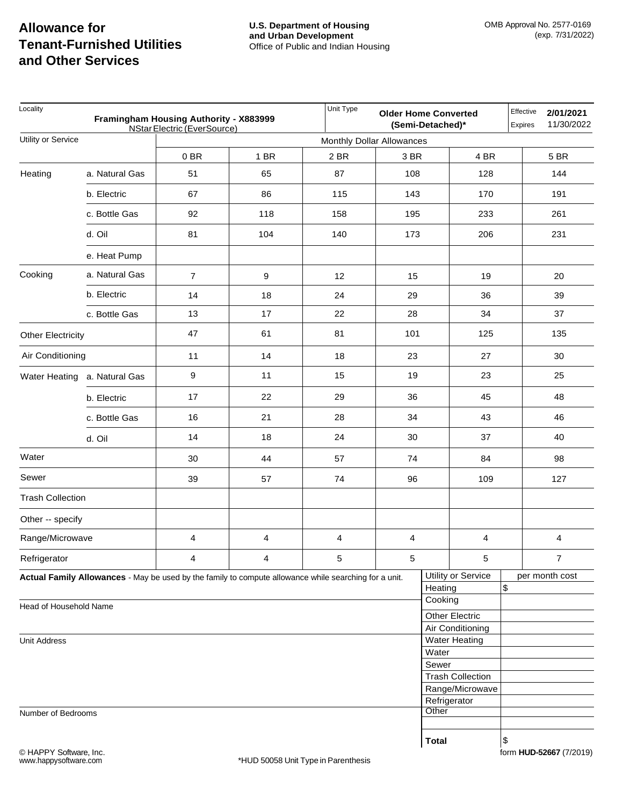| Locality<br>Framingham Housing Authority - X883999<br>NStar Electric (EverSource) |                |                                                                                                       |      |                           | Effective<br><b>Older Home Converted</b><br>(Semi-Detached)*<br><b>Expires</b> |              |                         |    | 2/01/2021<br>11/30/2022  |
|-----------------------------------------------------------------------------------|----------------|-------------------------------------------------------------------------------------------------------|------|---------------------------|--------------------------------------------------------------------------------|--------------|-------------------------|----|--------------------------|
| Utility or Service                                                                |                |                                                                                                       |      | Monthly Dollar Allowances |                                                                                |              |                         |    |                          |
|                                                                                   |                | 0BR                                                                                                   | 1 BR | 2 BR                      | 3 BR                                                                           |              | 4 BR                    |    | 5 BR                     |
| Heating                                                                           | a. Natural Gas | 51                                                                                                    | 65   | 87                        | 108                                                                            |              | 128                     |    | 144                      |
|                                                                                   | b. Electric    | 67                                                                                                    | 86   | 115                       | 143                                                                            |              | 170                     |    | 191                      |
|                                                                                   | c. Bottle Gas  | 92                                                                                                    | 118  | 158                       | 195                                                                            |              | 233                     |    | 261                      |
|                                                                                   | d. Oil         | 81                                                                                                    | 104  | 140                       | 173                                                                            |              | 206                     |    | 231                      |
|                                                                                   | e. Heat Pump   |                                                                                                       |      |                           |                                                                                |              |                         |    |                          |
| Cooking                                                                           | a. Natural Gas | $\overline{7}$                                                                                        | 9    | 12                        | 15                                                                             |              | 19                      |    | 20                       |
|                                                                                   | b. Electric    | 14                                                                                                    | 18   | 24                        | 29                                                                             |              | 36                      |    | 39                       |
|                                                                                   | c. Bottle Gas  | 13                                                                                                    | $17$ | 22                        | 28                                                                             |              | 34                      |    | 37                       |
| Other Electricity                                                                 |                | 47                                                                                                    | 61   | 81                        | 101                                                                            |              | 125                     |    | 135                      |
| Air Conditioning                                                                  |                | 11                                                                                                    | 14   | 18                        | 23                                                                             |              | 27                      |    | 30                       |
| Water Heating a. Natural Gas                                                      |                | $\boldsymbol{9}$                                                                                      | 11   | 15                        | 19                                                                             |              | 23                      |    | 25                       |
|                                                                                   | b. Electric    | 17                                                                                                    | 22   | 29                        | 36                                                                             |              | 45                      |    | 48                       |
|                                                                                   | c. Bottle Gas  | 16                                                                                                    | 21   | 28                        | 34                                                                             |              | 43                      |    | 46                       |
|                                                                                   | d. Oil         | 14                                                                                                    | 18   | 24                        | 30                                                                             |              | 37                      |    | 40                       |
| Water                                                                             |                | 30                                                                                                    | 44   | 57                        | 74                                                                             |              | 84                      |    | 98                       |
| Sewer                                                                             |                | 39                                                                                                    | 57   | 74                        | 96                                                                             |              | 109                     |    | 127                      |
| <b>Trash Collection</b>                                                           |                |                                                                                                       |      |                           |                                                                                |              |                         |    |                          |
| Other -- specify                                                                  |                |                                                                                                       |      |                           |                                                                                |              |                         |    |                          |
| Range/Microwave                                                                   |                | 4                                                                                                     | 4    | 4                         | $\overline{\mathbf{4}}$                                                        |              | 4                       |    | $\overline{\mathcal{A}}$ |
| Refrigerator                                                                      |                | 4                                                                                                     | 4    | 5                         | $\sqrt{5}$                                                                     |              | 5                       |    | $\overline{7}$           |
|                                                                                   |                | Actual Family Allowances - May be used by the family to compute allowance while searching for a unit. |      |                           |                                                                                | Heating      | Utility or Service      | \$ | per month cost           |
| Head of Household Name                                                            |                |                                                                                                       |      |                           |                                                                                | Cooking      |                         |    |                          |
|                                                                                   |                |                                                                                                       |      |                           |                                                                                |              | <b>Other Electric</b>   |    |                          |
|                                                                                   |                |                                                                                                       |      |                           |                                                                                |              | Air Conditioning        |    |                          |
| <b>Unit Address</b>                                                               |                |                                                                                                       |      |                           |                                                                                | Water        | <b>Water Heating</b>    |    |                          |
|                                                                                   |                |                                                                                                       |      |                           |                                                                                | Sewer        |                         |    |                          |
|                                                                                   |                |                                                                                                       |      |                           |                                                                                |              | <b>Trash Collection</b> |    |                          |
|                                                                                   |                |                                                                                                       |      |                           |                                                                                |              | Range/Microwave         |    |                          |
|                                                                                   |                |                                                                                                       |      |                           |                                                                                | Refrigerator |                         |    |                          |
| Number of Bedrooms                                                                |                |                                                                                                       |      |                           |                                                                                | Other        |                         |    |                          |
|                                                                                   |                |                                                                                                       |      |                           |                                                                                |              |                         |    |                          |
|                                                                                   |                |                                                                                                       |      |                           |                                                                                | <b>Total</b> |                         | \$ |                          |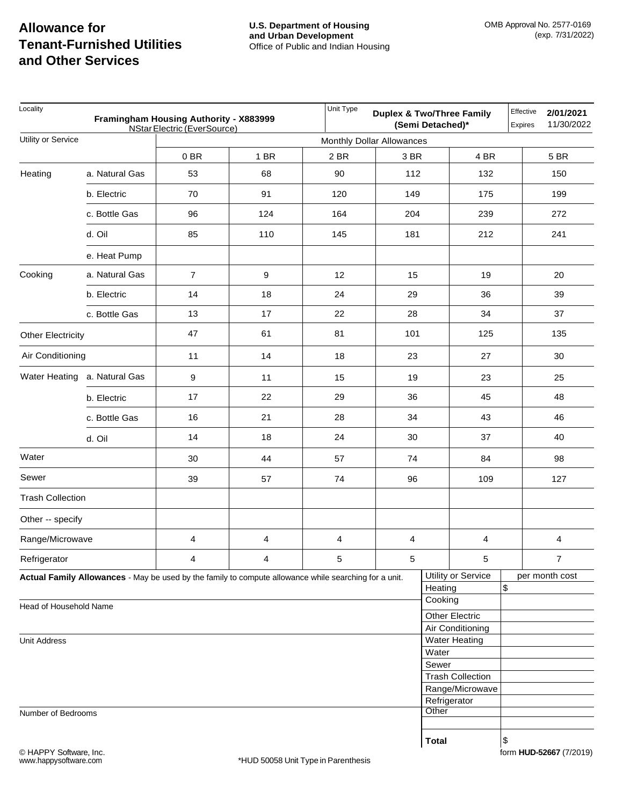| Locality<br>Framingham Housing Authority - X883999<br>NStar Electric (EverSource) |                              |                                                                                                       |      | Unit Type                 | <b>Duplex &amp; Two/Three Family</b><br>(Semi Detached)* |                                          |                         |    | Effective<br>2/01/2021<br>11/30/2022<br><b>Expires</b> |  |
|-----------------------------------------------------------------------------------|------------------------------|-------------------------------------------------------------------------------------------------------|------|---------------------------|----------------------------------------------------------|------------------------------------------|-------------------------|----|--------------------------------------------------------|--|
| Utility or Service                                                                |                              |                                                                                                       |      | Monthly Dollar Allowances |                                                          |                                          |                         |    |                                                        |  |
|                                                                                   |                              | 0BR                                                                                                   | 1 BR | 2 BR                      | 3 BR                                                     |                                          | 4 BR                    |    | 5 BR                                                   |  |
| Heating                                                                           | a. Natural Gas               | 53                                                                                                    | 68   | 90                        | 112                                                      |                                          | 132                     |    | 150                                                    |  |
|                                                                                   | b. Electric                  | 70                                                                                                    | 91   | 120                       | 149                                                      |                                          | 175                     |    | 199                                                    |  |
|                                                                                   | c. Bottle Gas                | 96                                                                                                    | 124  | 164                       | 204                                                      |                                          | 239                     |    | 272                                                    |  |
|                                                                                   | d. Oil                       | 85                                                                                                    | 110  | 145                       | 181                                                      |                                          | 212                     |    | 241                                                    |  |
|                                                                                   | e. Heat Pump                 |                                                                                                       |      |                           |                                                          |                                          |                         |    |                                                        |  |
| Cooking                                                                           | a. Natural Gas               | $\overline{7}$                                                                                        | 9    | 12                        | 15                                                       |                                          | 19                      |    | 20                                                     |  |
|                                                                                   | b. Electric                  | 14                                                                                                    | 18   | 24                        | 29                                                       |                                          | 36                      |    | 39                                                     |  |
|                                                                                   | c. Bottle Gas                | 13                                                                                                    | $17$ | 22                        | 28                                                       |                                          | 34                      |    | 37                                                     |  |
| <b>Other Electricity</b>                                                          |                              | 47                                                                                                    | 61   | 81                        | 101                                                      |                                          | 125                     |    | 135                                                    |  |
| Air Conditioning                                                                  |                              | 11                                                                                                    | 14   | 18                        | 23                                                       |                                          | 27                      |    | 30                                                     |  |
|                                                                                   | Water Heating a. Natural Gas | $9\,$                                                                                                 | 11   | 15                        | 19                                                       |                                          | 23                      |    | 25                                                     |  |
|                                                                                   | b. Electric                  | 17                                                                                                    | 22   | 29                        | 36                                                       |                                          | 45                      |    | 48                                                     |  |
|                                                                                   | c. Bottle Gas                | 16                                                                                                    | 21   | 28                        | 34                                                       |                                          | 43                      |    | 46                                                     |  |
|                                                                                   | d. Oil                       | 14                                                                                                    | 18   | 24                        | 30                                                       |                                          | 37                      |    | 40                                                     |  |
| Water                                                                             |                              | 30                                                                                                    | 44   | 57                        | 74                                                       |                                          | 84                      |    | 98                                                     |  |
| Sewer                                                                             |                              | 39                                                                                                    | 57   | 74                        | 96                                                       |                                          | 109                     |    | 127                                                    |  |
| <b>Trash Collection</b>                                                           |                              |                                                                                                       |      |                           |                                                          |                                          |                         |    |                                                        |  |
| Other -- specify                                                                  |                              |                                                                                                       |      |                           |                                                          |                                          |                         |    |                                                        |  |
| Range/Microwave                                                                   |                              | 4                                                                                                     | 4    | 4                         | 4                                                        |                                          | 4                       |    | 4                                                      |  |
| Refrigerator                                                                      |                              | $\overline{4}$                                                                                        | 4    | 5                         | $5\phantom{.0}$                                          |                                          | 5                       |    | $\overline{7}$                                         |  |
|                                                                                   |                              | Actual Family Allowances - May be used by the family to compute allowance while searching for a unit. |      |                           |                                                          | Heating                                  | Utility or Service      |    | per month cost                                         |  |
| Head of Household Name                                                            |                              |                                                                                                       |      |                           |                                                          | Cooking                                  |                         | \$ |                                                        |  |
|                                                                                   |                              |                                                                                                       |      |                           |                                                          |                                          | <b>Other Electric</b>   |    |                                                        |  |
|                                                                                   |                              |                                                                                                       |      |                           |                                                          | Air Conditioning<br><b>Water Heating</b> |                         |    |                                                        |  |
| <b>Unit Address</b>                                                               |                              |                                                                                                       |      |                           |                                                          | Water                                    |                         |    |                                                        |  |
|                                                                                   |                              |                                                                                                       |      |                           |                                                          | Sewer                                    |                         |    |                                                        |  |
|                                                                                   |                              |                                                                                                       |      |                           |                                                          |                                          | <b>Trash Collection</b> |    |                                                        |  |
|                                                                                   |                              |                                                                                                       |      |                           |                                                          | Range/Microwave                          |                         |    |                                                        |  |
|                                                                                   |                              |                                                                                                       |      |                           |                                                          | Refrigerator                             |                         |    |                                                        |  |
| Number of Bedrooms                                                                |                              |                                                                                                       |      |                           |                                                          | Other                                    |                         |    |                                                        |  |
|                                                                                   |                              |                                                                                                       |      |                           |                                                          |                                          |                         |    |                                                        |  |
|                                                                                   |                              |                                                                                                       |      |                           |                                                          | <b>Total</b>                             | $\$$                    |    |                                                        |  |

form **HUD-52667** (7/2019)